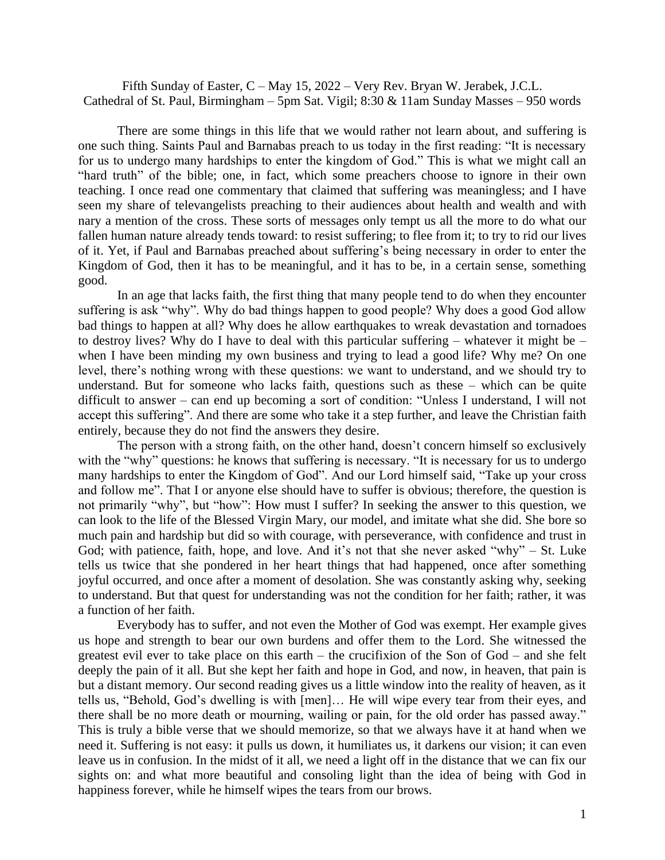Fifth Sunday of Easter, C – May 15, 2022 – Very Rev. Bryan W. Jerabek, J.C.L. Cathedral of St. Paul, Birmingham – 5pm Sat. Vigil; 8:30 & 11am Sunday Masses – 950 words

There are some things in this life that we would rather not learn about, and suffering is one such thing. Saints Paul and Barnabas preach to us today in the first reading: "It is necessary for us to undergo many hardships to enter the kingdom of God." This is what we might call an "hard truth" of the bible; one, in fact, which some preachers choose to ignore in their own teaching. I once read one commentary that claimed that suffering was meaningless; and I have seen my share of televangelists preaching to their audiences about health and wealth and with nary a mention of the cross. These sorts of messages only tempt us all the more to do what our fallen human nature already tends toward: to resist suffering; to flee from it; to try to rid our lives of it. Yet, if Paul and Barnabas preached about suffering's being necessary in order to enter the Kingdom of God, then it has to be meaningful, and it has to be, in a certain sense, something good.

In an age that lacks faith, the first thing that many people tend to do when they encounter suffering is ask "why". Why do bad things happen to good people? Why does a good God allow bad things to happen at all? Why does he allow earthquakes to wreak devastation and tornadoes to destroy lives? Why do I have to deal with this particular suffering – whatever it might be – when I have been minding my own business and trying to lead a good life? Why me? On one level, there's nothing wrong with these questions: we want to understand, and we should try to understand. But for someone who lacks faith, questions such as these – which can be quite difficult to answer – can end up becoming a sort of condition: "Unless I understand, I will not accept this suffering". And there are some who take it a step further, and leave the Christian faith entirely, because they do not find the answers they desire.

The person with a strong faith, on the other hand, doesn't concern himself so exclusively with the "why" questions: he knows that suffering is necessary. "It is necessary for us to undergo many hardships to enter the Kingdom of God". And our Lord himself said, "Take up your cross and follow me". That I or anyone else should have to suffer is obvious; therefore, the question is not primarily "why", but "how": How must I suffer? In seeking the answer to this question, we can look to the life of the Blessed Virgin Mary, our model, and imitate what she did. She bore so much pain and hardship but did so with courage, with perseverance, with confidence and trust in God; with patience, faith, hope, and love. And it's not that she never asked "why" – St. Luke tells us twice that she pondered in her heart things that had happened, once after something joyful occurred, and once after a moment of desolation. She was constantly asking why, seeking to understand. But that quest for understanding was not the condition for her faith; rather, it was a function of her faith.

Everybody has to suffer, and not even the Mother of God was exempt. Her example gives us hope and strength to bear our own burdens and offer them to the Lord. She witnessed the greatest evil ever to take place on this earth – the crucifixion of the Son of God – and she felt deeply the pain of it all. But she kept her faith and hope in God, and now, in heaven, that pain is but a distant memory. Our second reading gives us a little window into the reality of heaven, as it tells us, "Behold, God's dwelling is with [men]… He will wipe every tear from their eyes, and there shall be no more death or mourning, wailing or pain, for the old order has passed away." This is truly a bible verse that we should memorize, so that we always have it at hand when we need it. Suffering is not easy: it pulls us down, it humiliates us, it darkens our vision; it can even leave us in confusion. In the midst of it all, we need a light off in the distance that we can fix our sights on: and what more beautiful and consoling light than the idea of being with God in happiness forever, while he himself wipes the tears from our brows.